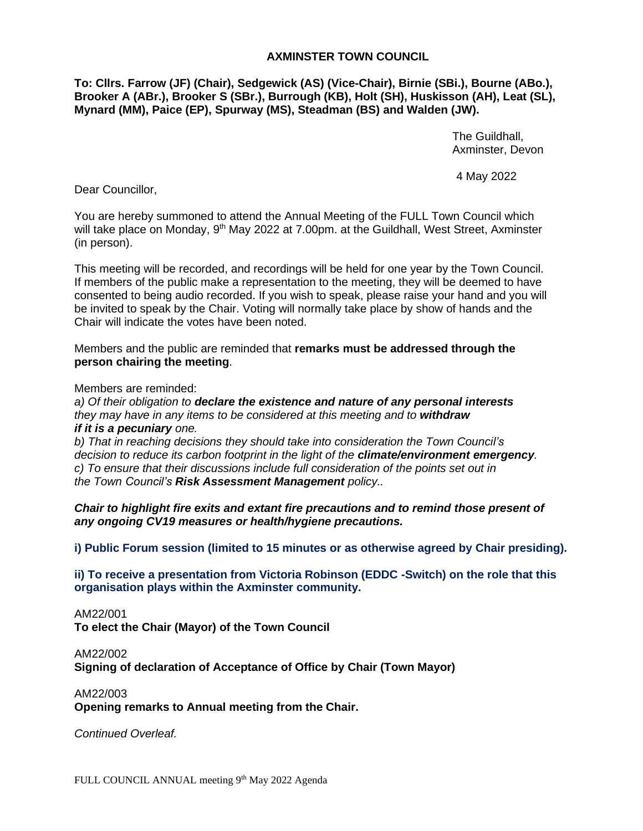# **AXMINSTER TOWN COUNCIL**

**To: Cllrs. Farrow (JF) (Chair), Sedgewick (AS) (Vice-Chair), Birnie (SBi.), Bourne (ABo.), Brooker A (ABr.), Brooker S (SBr.), Burrough (KB), Holt (SH), Huskisson (AH), Leat (SL), Mynard (MM), Paice (EP), Spurway (MS), Steadman (BS) and Walden (JW).**

> The Guildhall, Axminster, Devon

4 May 2022

Dear Councillor,

You are hereby summoned to attend the Annual Meeting of the FULL Town Council which will take place on Monday, 9<sup>th</sup> May 2022 at 7.00pm. at the Guildhall, West Street, Axminster (in person).

This meeting will be recorded, and recordings will be held for one year by the Town Council. If members of the public make a representation to the meeting, they will be deemed to have consented to being audio recorded. If you wish to speak, please raise your hand and you will be invited to speak by the Chair. Voting will normally take place by show of hands and the Chair will indicate the votes have been noted.

Members and the public are reminded that **remarks must be addressed through the person chairing the meeting**.

Members are reminded:

*a) Of their obligation to declare the existence and nature of any personal interests they may have in any items to be considered at this meeting and to withdraw if it is a pecuniary one.* 

*b) That in reaching decisions they should take into consideration the Town Council's decision to reduce its carbon footprint in the light of the climate/environment emergency. c) To ensure that their discussions include full consideration of the points set out in the Town Council's Risk Assessment Management policy..*

*Chair to highlight fire exits and extant fire precautions and to remind those present of any ongoing CV19 measures or health/hygiene precautions.*

**i) Public Forum session (limited to 15 minutes or as otherwise agreed by Chair presiding).**

**ii) To receive a presentation from Victoria Robinson (EDDC -Switch) on the role that this organisation plays within the Axminster community.**

AM22/001 **To elect the Chair (Mayor) of the Town Council**

AM22/002 **Signing of declaration of Acceptance of Office by Chair (Town Mayor)**

AM22/003 **Opening remarks to Annual meeting from the Chair.**

*Continued Overleaf.*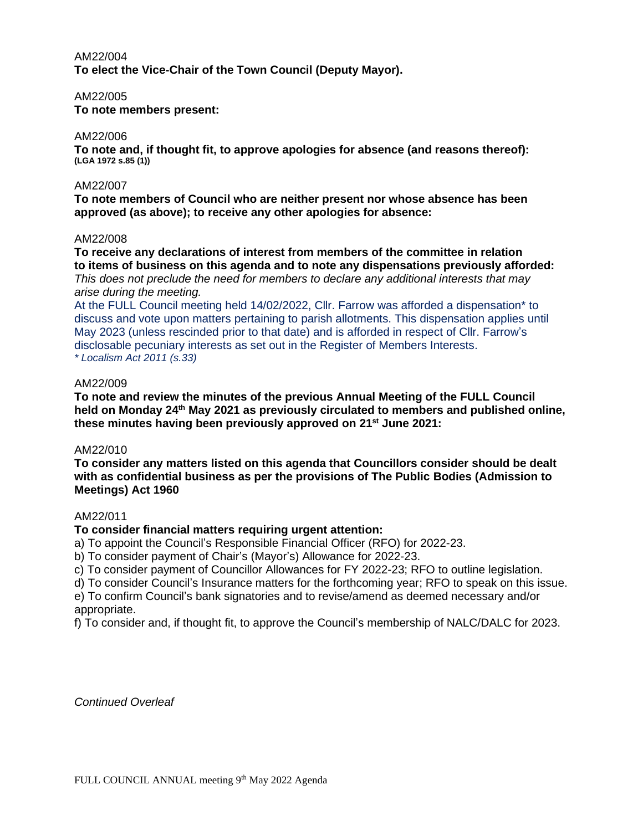# AM22/004 **To elect the Vice-Chair of the Town Council (Deputy Mayor).**

### AM22/005

**To note members present:**

### AM22/006

**To note and, if thought fit, to approve apologies for absence (and reasons thereof): (LGA 1972 s.85 (1))**

### AM22/007

**To note members of Council who are neither present nor whose absence has been approved (as above); to receive any other apologies for absence:**

### AM22/008

**To receive any declarations of interest from members of the committee in relation to items of business on this agenda and to note any dispensations previously afforded:** *This does not preclude the need for members to declare any additional interests that may arise during the meeting.*

At the FULL Council meeting held 14/02/2022, Cllr. Farrow was afforded a dispensation\* to discuss and vote upon matters pertaining to parish allotments. This dispensation applies until May 2023 (unless rescinded prior to that date) and is afforded in respect of Cllr. Farrow's disclosable pecuniary interests as set out in the Register of Members Interests. *\* Localism Act 2011 (s.33)*

### AM22/009

**To note and review the minutes of the previous Annual Meeting of the FULL Council held on Monday 24th May 2021 as previously circulated to members and published online, these minutes having been previously approved on 21st June 2021:**

## AM22/010

**To consider any matters listed on this agenda that Councillors consider should be dealt with as confidential business as per the provisions of The Public Bodies (Admission to Meetings) Act 1960**

#### AM22/011

## **To consider financial matters requiring urgent attention:**

a) To appoint the Council's Responsible Financial Officer (RFO) for 2022-23.

b) To consider payment of Chair's (Mayor's) Allowance for 2022-23.

c) To consider payment of Councillor Allowances for FY 2022-23; RFO to outline legislation.

d) To consider Council's Insurance matters for the forthcoming year; RFO to speak on this issue.

e) To confirm Council's bank signatories and to revise/amend as deemed necessary and/or appropriate.

f) To consider and, if thought fit, to approve the Council's membership of NALC/DALC for 2023.

*Continued Overleaf*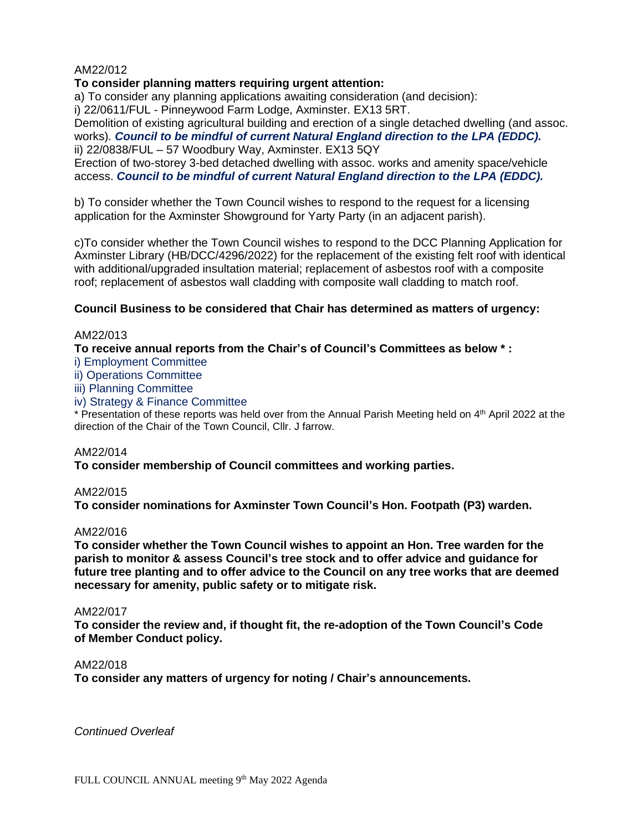# AM22/012

## **To consider planning matters requiring urgent attention:**

a) To consider any planning applications awaiting consideration (and decision):

i) 22/0611/FUL - Pinneywood Farm Lodge, Axminster. EX13 5RT.

Demolition of existing agricultural building and erection of a single detached dwelling (and assoc. works). *Council to be mindful of current Natural England direction to the LPA (EDDC).* ii) 22/0838/FUL – 57 Woodbury Way, Axminster. EX13 5QY

Erection of two-storey 3-bed detached dwelling with assoc. works and amenity space/vehicle access. *Council to be mindful of current Natural England direction to the LPA (EDDC).*

b) To consider whether the Town Council wishes to respond to the request for a licensing application for the Axminster Showground for Yarty Party (in an adjacent parish).

c)To consider whether the Town Council wishes to respond to the DCC Planning Application for Axminster Library (HB/DCC/4296/2022) for the replacement of the existing felt roof with identical with additional/upgraded insultation material; replacement of asbestos roof with a composite roof; replacement of asbestos wall cladding with composite wall cladding to match roof.

# **Council Business to be considered that Chair has determined as matters of urgency:**

## AM22/013

**To receive annual reports from the Chair's of Council's Committees as below \* :**

i) Employment Committee

ii) Operations Committee

iii) Planning Committee

iv) Strategy & Finance Committee

\* Presentation of these reports was held over from the Annual Parish Meeting held on 4 th April 2022 at the direction of the Chair of the Town Council, Cllr. J farrow.

## AM22/014

**To consider membership of Council committees and working parties.**

## AM22/015

**To consider nominations for Axminster Town Council's Hon. Footpath (P3) warden.**

## AM22/016

**To consider whether the Town Council wishes to appoint an Hon. Tree warden for the parish to monitor & assess Council's tree stock and to offer advice and guidance for future tree planting and to offer advice to the Council on any tree works that are deemed necessary for amenity, public safety or to mitigate risk.**

#### AM22/017

**To consider the review and, if thought fit, the re-adoption of the Town Council's Code of Member Conduct policy.**

#### AM22/018

**To consider any matters of urgency for noting / Chair's announcements.**

*Continued Overleaf*